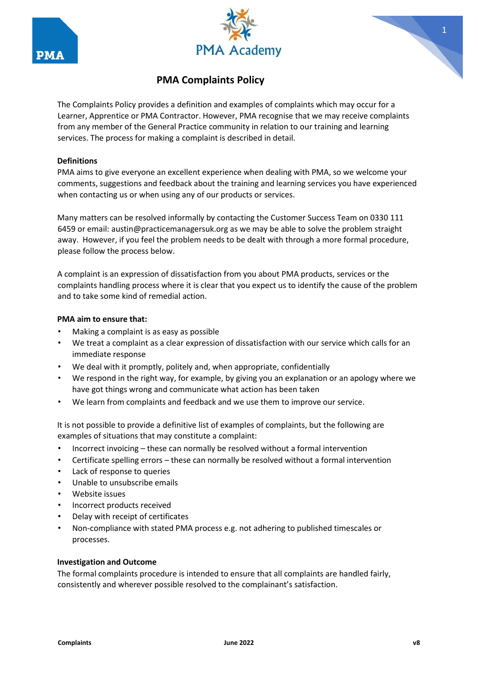





# **PMA Complaints Policy**

The Complaints Policy provides a definition and examples of complaints which may occur for a Learner, Apprentice or PMA Contractor. However, PMA recognise that we may receive complaints from any member of the General Practice community in relation to our training and learning services. The process for making a complaint is described in detail.

# **Definitions**

PMA aims to give everyone an excellent experience when dealing with PMA, so we welcome your comments, suggestions and feedback about the training and learning services you have experienced when contacting us or when using any of our products or services.

Many matters can be resolved informally by contacting the Customer Success Team on 0330 111 6459 or email: austin@practicemanagersuk.org as we may be able to solve the problem straight away. However, if you feel the problem needs to be dealt with through a more formal procedure, please follow the process below.

A complaint is an expression of dissatisfaction from you about PMA products, services or the complaints handling process where it is clear that you expect us to identify the cause of the problem and to take some kind of remedial action.

## **PMA aim to ensure that:**

- Making a complaint is as easy as possible
- We treat a complaint as a clear expression of dissatisfaction with our service which calls for an immediate response
- We deal with it promptly, politely and, when appropriate, confidentially
- We respond in the right way, for example, by giving you an explanation or an apology where we have got things wrong and communicate what action has been taken
- We learn from complaints and feedback and we use them to improve our service.

It is not possible to provide a definitive list of examples of complaints, but the following are examples of situations that may constitute a complaint:

- Incorrect invoicing these can normally be resolved without a formal intervention
- Certificate spelling errors these can normally be resolved without a formal intervention
- Lack of response to queries
- Unable to unsubscribe emails
- Website issues
- Incorrect products received
- Delay with receipt of certificates
- Non-compliance with stated PMA process e.g. not adhering to published timescales or processes.

#### **Investigation and Outcome**

The formal complaints procedure is intended to ensure that all complaints are handled fairly, consistently and wherever possible resolved to the complainant's satisfaction.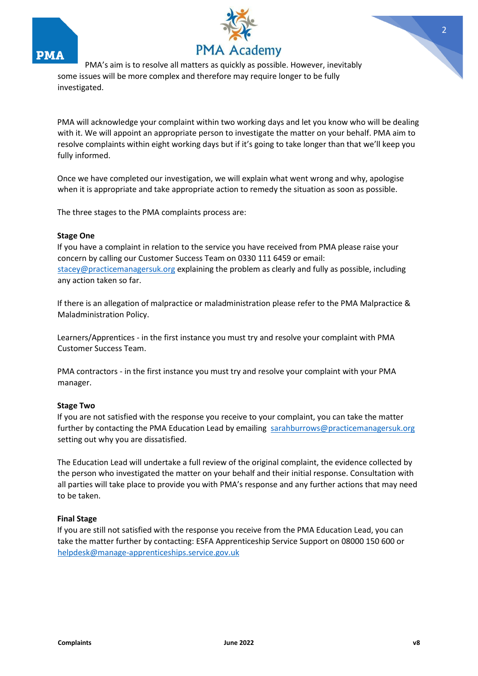





PMA will acknowledge your complaint within two working days and let you know who will be dealing with it. We will appoint an appropriate person to investigate the matter on your behalf. PMA aim to resolve complaints within eight working days but if it's going to take longer than that we'll keep you fully informed.

Once we have completed our investigation, we will explain what went wrong and why, apologise when it is appropriate and take appropriate action to remedy the situation as soon as possible.

The three stages to the PMA complaints process are:

#### **Stage One**

If you have a complaint in relation to the service you have received from PMA please raise your concern by calling our Customer Success Team on 0330 111 6459 or email: stacey@practicemanagersuk.org explaining the problem as clearly and fully as possible, including any action taken so far.

If there is an allegation of malpractice or maladministration please refer to the PMA Malpractice & Maladministration Policy.

Learners/Apprentices - in the first instance you must try and resolve your complaint with PMA Customer Success Team.

PMA contractors - in the first instance you must try and resolve your complaint with your PMA manager.

#### **Stage Two**

If you are not satisfied with the response you receive to your complaint, you can take the matter further by contacting the PMA Education Lead by emailing sarahburrows@practicemanagersuk.org setting out why you are dissatisfied.

The Education Lead will undertake a full review of the original complaint, the evidence collected by the person who investigated the matter on your behalf and their initial response. Consultation with all parties will take place to provide you with PMA's response and any further actions that may need to be taken.

#### **Final Stage**

If you are still not satisfied with the response you receive from the PMA Education Lead, you can take the matter further by contacting: ESFA Apprenticeship Service Support on 08000 150 600 or [helpdesk@manage-apprenticeships.service.gov.uk](mailto:helpdesk@manage-apprenticeships.service.gov.uk)

2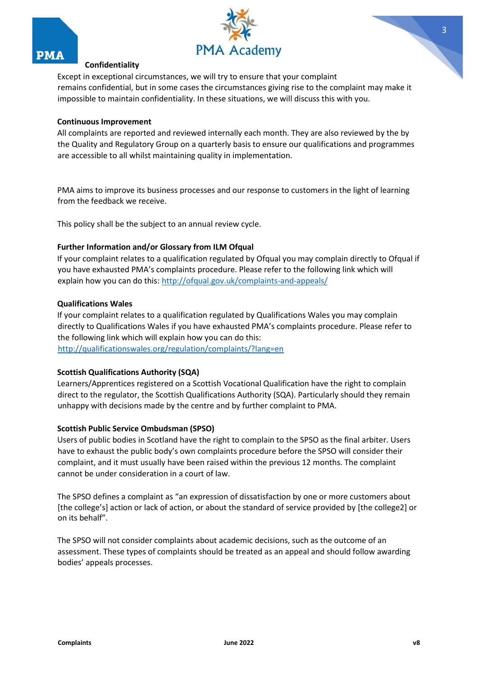

Except in exceptional circumstances, we will try to ensure that your complaint remains confidential, but in some cases the circumstances giving rise to the complaint may make it impossible to maintain confidentiality. In these situations, we will discuss this with you.

## **Continuous Improvement**

All complaints are reported and reviewed internally each month. They are also reviewed by the by the Quality and Regulatory Group on a quarterly basis to ensure our qualifications and programmes are accessible to all whilst maintaining quality in implementation.

PMA aims to improve its business processes and our response to customers in the light of learning from the feedback we receive.

This policy shall be the subject to an annual review cycle.

## **Further Information and/or Glossary from ILM Ofqual**

If your complaint relates to a qualification regulated by Ofqual you may complain directly to Ofqual if you have exhausted PMA's complaints procedure. Please refer to the following link which will explain how you can do this:<http://ofqual.gov.uk/complaints-and-appeals/>

## **Qualifications Wales**

If your complaint relates to a qualification regulated by Qualifications Wales you may complain directly to Qualifications Wales if you have exhausted PMA's complaints procedure. Please refer to the following link which will explain how you can do this: <http://qualificationswales.org/regulation/complaints/?lang=en>

# **Scottish Qualifications Authority (SQA)**

Learners/Apprentices registered on a Scottish Vocational Qualification have the right to complain direct to the regulator, the Scottish Qualifications Authority (SQA). Particularly should they remain unhappy with decisions made by the centre and by further complaint to PMA.

# **Scottish Public Service Ombudsman (SPSO)**

Users of public bodies in Scotland have the right to complain to the SPSO as the final arbiter. Users have to exhaust the public body's own complaints procedure before the SPSO will consider their complaint, and it must usually have been raised within the previous 12 months. The complaint cannot be under consideration in a court of law.

The SPSO defines a complaint as "an expression of dissatisfaction by one or more customers about [the college's] action or lack of action, or about the standard of service provided by [the college2] or on its behalf".

The SPSO will not consider complaints about academic decisions, such as the outcome of an assessment. These types of complaints should be treated as an appeal and should follow awarding bodies' appeals processes.

3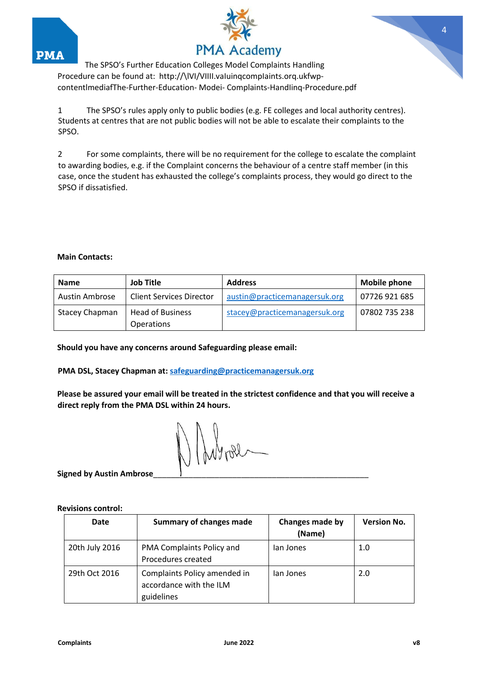



The SPSO's Further Education Colleges Model Complaints Handling Procedure can be found at: http://\lVI/VIIII.vaIuinqcompIaints.org.ukfwpcontentlmediafThe-Further-Education- Modei- Complaints-HandIinq-Procedure.pdf

1 The SPSO's rules apply only to public bodies (e.g. FE colleges and local authority centres). Students at centres that are not public bodies will not be able to escalate their complaints to the SPSO.

2 For some complaints, there will be no requirement for the college to escalate the complaint to awarding bodies, e.g. if the Complaint concerns the behaviour of a centre staff member (in this case, once the student has exhausted the college's complaints process, they would go direct to the SPSO if dissatisfied.

## **Main Contacts:**

| <b>Name</b>           | <b>Job Title</b>                | <b>Address</b>                | <b>Mobile phone</b> |
|-----------------------|---------------------------------|-------------------------------|---------------------|
| <b>Austin Ambrose</b> | <b>Client Services Director</b> | austin@practicemanagersuk.org | 07726 921 685       |
| Stacey Chapman        | <b>Head of Business</b>         | stacey@practicemanagersuk.org | 07802 735 238       |
|                       | <b>Operations</b>               |                               |                     |

**Should you have any concerns around Safeguarding please email:** 

**PMA DSL, Stacey Chapman at: safeguarding@practicemanagersuk.org** 

**Please be assured your email will be treated in the strictest confidence and that you will receive a direct reply from the PMA DSL within 24 hours.** 

**Signed by Austin Ambrose**\_\_\_\_\_\_\_\_\_\_\_\_\_\_\_\_\_\_\_\_\_\_\_\_\_\_\_\_\_\_\_\_\_\_\_\_\_\_\_\_\_\_\_\_\_\_\_\_\_

**Revisions control:**

| Date           | <b>Summary of changes made</b>                                        | Changes made by<br>(Name) | <b>Version No.</b> |
|----------------|-----------------------------------------------------------------------|---------------------------|--------------------|
| 20th July 2016 | PMA Complaints Policy and<br>Procedures created                       | lan Jones                 | 1.0                |
| 29th Oct 2016  | Complaints Policy amended in<br>accordance with the ILM<br>guidelines | lan Jones                 | 2.0                |

4